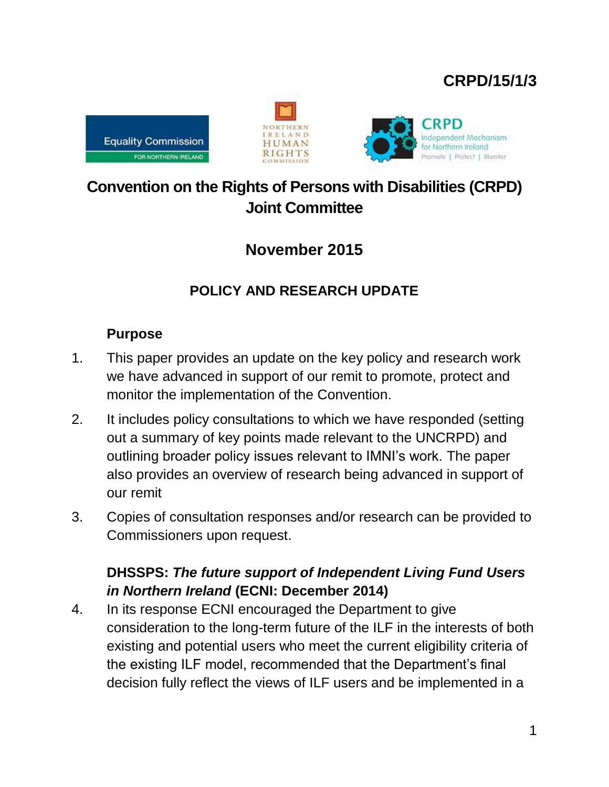# **CRPD/15/1/3**







# **Convention on the Rights of Persons with Disabilities (CRPD) Joint Committee**

# **November 2015**

# **POLICY AND RESEARCH UPDATE**

#### **Purpose**

- 1. This paper provides an update on the key policy and research work we have advanced in support of our remit to promote, protect and monitor the implementation of the Convention.
- 2. It includes policy consultations to which we have responded (setting out a summary of key points made relevant to the UNCRPD) and outlining broader policy issues relevant to IMNI's work. The paper also provides an overview of research being advanced in support of our remit
- 3. Copies of consultation responses and/or research can be provided to Commissioners upon request.

#### **DHSSPS:** *The future support of Independent Living Fund Users in Northern Ireland* **(ECNI: December 2014)**

4. In its response ECNI encouraged the Department to give consideration to the long-term future of the ILF in the interests of both existing and potential users who meet the current eligibility criteria of the existing ILF model, recommended that the Department's final decision fully reflect the views of ILF users and be implemented in a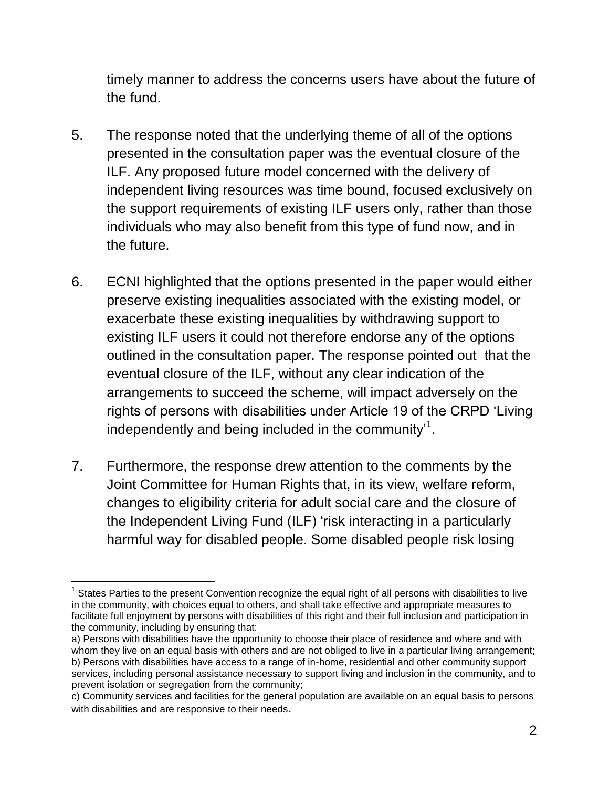timely manner to address the concerns users have about the future of the fund.

- 5. The response noted that the underlying theme of all of the options presented in the consultation paper was the eventual closure of the ILF. Any proposed future model concerned with the delivery of independent living resources was time bound, focused exclusively on the support requirements of existing ILF users only, rather than those individuals who may also benefit from this type of fund now, and in the future.
- 6. ECNI highlighted that the options presented in the paper would either preserve existing inequalities associated with the existing model, or exacerbate these existing inequalities by withdrawing support to existing ILF users it could not therefore endorse any of the options outlined in the consultation paper. The response pointed out that the eventual closure of the ILF, without any clear indication of the arrangements to succeed the scheme, will impact adversely on the rights of persons with disabilities under Article 19 of the CRPD 'Living independently and being included in the community'<sup>1</sup>.
- 7. Furthermore, the response drew attention to the comments by the Joint Committee for Human Rights that, in its view, welfare reform, changes to eligibility criteria for adult social care and the closure of the Independent Living Fund (ILF) 'risk interacting in a particularly harmful way for disabled people. Some disabled people risk losing

 $\overline{a}$  $1$  States Parties to the present Convention recognize the equal right of all persons with disabilities to live in the community, with choices equal to others, and shall take effective and appropriate measures to facilitate full enjoyment by persons with disabilities of this right and their full inclusion and participation in the community, including by ensuring that:

a) Persons with disabilities have the opportunity to choose their place of residence and where and with whom they live on an equal basis with others and are not obliged to live in a particular living arrangement; b) Persons with disabilities have access to a range of in-home, residential and other community support services, including personal assistance necessary to support living and inclusion in the community, and to prevent isolation or segregation from the community;

c) Community services and facilities for the general population are available on an equal basis to persons with disabilities and are responsive to their needs.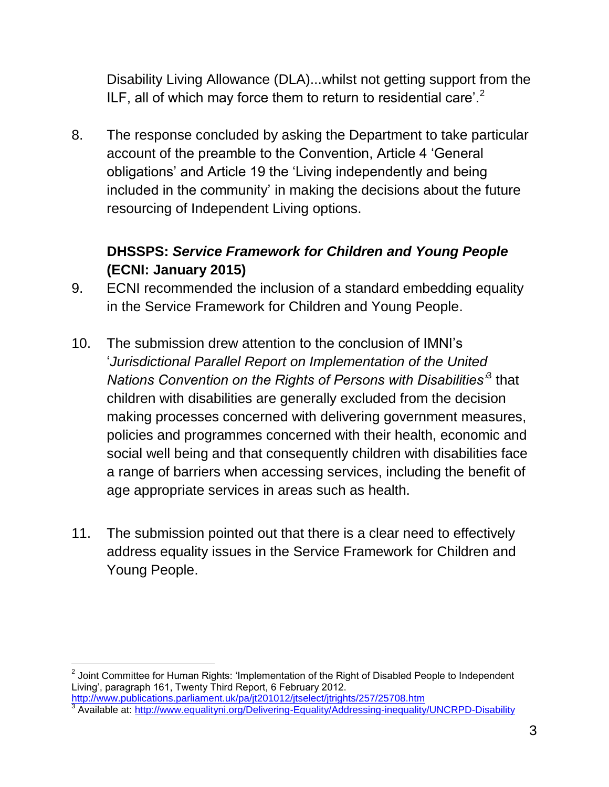Disability Living Allowance (DLA)...whilst not getting support from the ILF, all of which may force them to return to residential care'.<sup>2</sup>

8. The response concluded by asking the Department to take particular account of the preamble to the Convention, Article 4 'General obligations' and Article 19 the 'Living independently and being included in the community' in making the decisions about the future resourcing of Independent Living options.

#### **DHSSPS:** *Service Framework for Children and Young People* **(ECNI: January 2015)**

- 9. ECNI recommended the inclusion of a standard embedding equality in the Service Framework for Children and Young People.
- 10. The submission drew attention to the conclusion of IMNI's '*Jurisdictional Parallel Report on Implementation of the United Nations Convention on the Rights of Persons with Disabilities'*<sup>3</sup> that children with disabilities are generally excluded from the decision making processes concerned with delivering government measures, policies and programmes concerned with their health, economic and social well being and that consequently children with disabilities face a range of barriers when accessing services, including the benefit of age appropriate services in areas such as health.
- 11. The submission pointed out that there is a clear need to effectively address equality issues in the Service Framework for Children and Young People.

 $^{\rm 2}$  Joint Committee for Human Rights: 'Implementation of the Right of Disabled People to Independent Living', paragraph 161, Twenty Third Report, 6 February 2012.

<http://www.publications.parliament.uk/pa/jt201012/jtselect/jtrights/257/25708.htm><br>3 Avoilable at: http://www.equalitupi.org/Delivering Equality/Addressing inoquality

Available at:<http://www.equalityni.org/Delivering-Equality/Addressing-inequality/UNCRPD-Disability>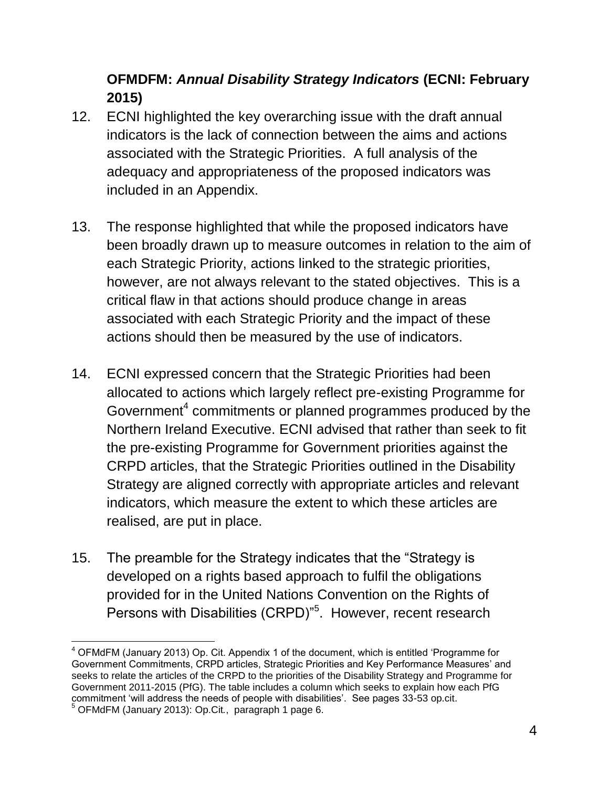### **OFMDFM:** *Annual Disability Strategy Indicators* **(ECNI: February 2015)**

- 12. ECNI highlighted the key overarching issue with the draft annual indicators is the lack of connection between the aims and actions associated with the Strategic Priorities. A full analysis of the adequacy and appropriateness of the proposed indicators was included in an Appendix.
- 13. The response highlighted that while the proposed indicators have been broadly drawn up to measure outcomes in relation to the aim of each Strategic Priority, actions linked to the strategic priorities, however, are not always relevant to the stated objectives. This is a critical flaw in that actions should produce change in areas associated with each Strategic Priority and the impact of these actions should then be measured by the use of indicators.
- 14. ECNI expressed concern that the Strategic Priorities had been allocated to actions which largely reflect pre-existing Programme for Government $4$  commitments or planned programmes produced by the Northern Ireland Executive. ECNI advised that rather than seek to fit the pre-existing Programme for Government priorities against the CRPD articles, that the Strategic Priorities outlined in the Disability Strategy are aligned correctly with appropriate articles and relevant indicators, which measure the extent to which these articles are realised, are put in place.
- 15. The preamble for the Strategy indicates that the "Strategy is developed on a rights based approach to fulfil the obligations provided for in the United Nations Convention on the Rights of Persons with Disabilities (CRPD)"<sup>5</sup>. However, recent research

 $\overline{a}$  $4$  OFMdFM (January 2013) Op. Cit. Appendix 1 of the document, which is entitled 'Programme for Government Commitments, CRPD articles, Strategic Priorities and Key Performance Measures' and seeks to relate the articles of the CRPD to the priorities of the Disability Strategy and Programme for Government 2011-2015 (PfG). The table includes a column which seeks to explain how each PfG commitment 'will address the needs of people with disabilities'. See pages 33-53 op.cit. <sup>5</sup> OFMdFM (January 2013): Op.Cit*.*, paragraph 1 page 6.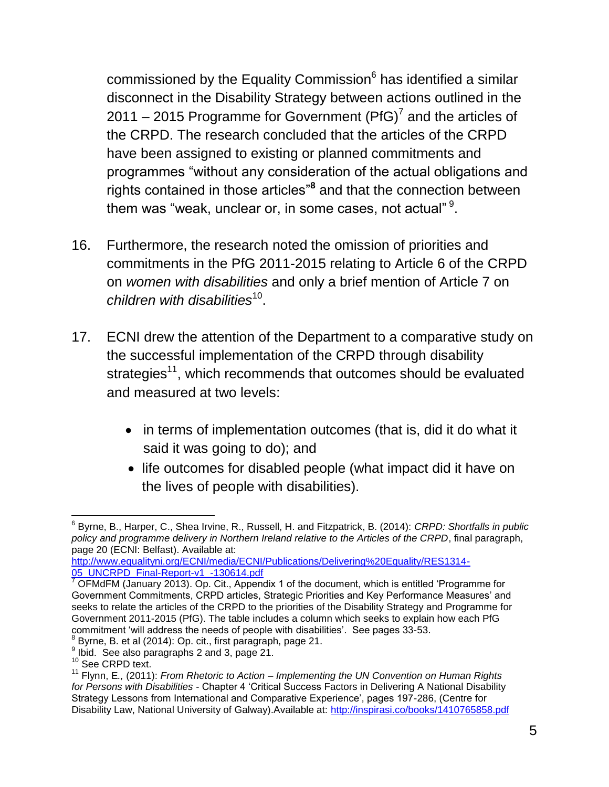commissioned by the Equality Commission<sup>6</sup> has identified a similar disconnect in the Disability Strategy between actions outlined in the 2011 – 2015 Programme for Government (PfG)<sup>7</sup> and the articles of the CRPD. The research concluded that the articles of the CRPD have been assigned to existing or planned commitments and programmes "without any consideration of the actual obligations and rights contained in those articles"**<sup>8</sup>** and that the connection between them was "weak, unclear or, in some cases, not actual"  $^9$ .

- 16. Furthermore, the research noted the omission of priorities and commitments in the PfG 2011-2015 relating to Article 6 of the CRPD on *women with disabilities* and only a brief mention of Article 7 on children with disabilities<sup>10</sup>.
- 17. ECNI drew the attention of the Department to a comparative study on the successful implementation of the CRPD through disability strategies<sup>11</sup>, which recommends that outcomes should be evaluated and measured at two levels:
	- in terms of implementation outcomes (that is, did it do what it said it was going to do); and
	- life outcomes for disabled people (what impact did it have on the lives of people with disabilities).

<sup>6</sup> Byrne, B., Harper, C., Shea Irvine, R., Russell, H. and Fitzpatrick, B. (2014): *CRPD: Shortfalls in public policy and programme delivery in Northern Ireland relative to the Articles of the CRPD*, final paragraph, page 20 (ECNI: Belfast). Available at:

[http://www.equalityni.org/ECNI/media/ECNI/Publications/Delivering%20Equality/RES1314-](http://www.equalityni.org/ECNI/media/ECNI/Publications/Delivering%20Equality/RES1314-05_CRPD_Final-Report-v1_-130614.pdf) [05\\_UNCRPD\\_Final-Report-v1\\_-130614.pdf](http://www.equalityni.org/ECNI/media/ECNI/Publications/Delivering%20Equality/RES1314-05_CRPD_Final-Report-v1_-130614.pdf)

 $7$  OFMdFM (January 2013). Op. Cit., Appendix 1 of the document, which is entitled 'Programme for Government Commitments, CRPD articles, Strategic Priorities and Key Performance Measures' and seeks to relate the articles of the CRPD to the priorities of the Disability Strategy and Programme for Government 2011-2015 (PfG). The table includes a column which seeks to explain how each PfG commitment 'will address the needs of people with disabilities'. See pages 33-53.<br><sup>8</sup> Burno, B, et el (2014): Op, eit, firet peregraph, page 21.

 $^3$  Byrne, B. et al (2014): Op. cit., first paragraph, page 21.

<sup>&</sup>lt;sup>9</sup> Ibid. See also paragraphs 2 and 3, page 21.

<sup>&</sup>lt;sup>10</sup> See CRPD text.

<sup>11</sup> Flynn, E*.,* (2011): *From Rhetoric to Action – Implementing the UN Convention on Human Rights for Persons with Disabilities* - Chapter 4 'Critical Success Factors in Delivering A National Disability Strategy Lessons from International and Comparative Experience', pages 197-286, (Centre for Disability Law, National University of Galway).Available at:<http://inspirasi.co/books/1410765858.pdf>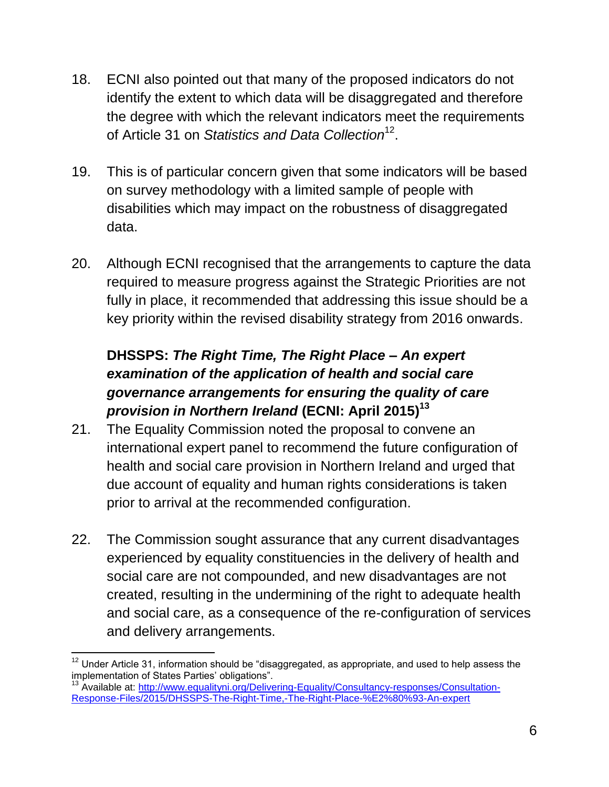- 18. ECNI also pointed out that many of the proposed indicators do not identify the extent to which data will be disaggregated and therefore the degree with which the relevant indicators meet the requirements of Article 31 on S*tatistics and Data Collection*<sup>12</sup>.
- 19. This is of particular concern given that some indicators will be based on survey methodology with a limited sample of people with disabilities which may impact on the robustness of disaggregated data.
- 20. Although ECNI recognised that the arrangements to capture the data required to measure progress against the Strategic Priorities are not fully in place, it recommended that addressing this issue should be a key priority within the revised disability strategy from 2016 onwards.

## **DHSSPS:** *The Right Time, The Right Place – An expert examination of the application of health and social care governance arrangements for ensuring the quality of care provision in Northern Ireland* **(ECNI: April 2015)<sup>13</sup>**

- 21. The Equality Commission noted the proposal to convene an international expert panel to recommend the future configuration of health and social care provision in Northern Ireland and urged that due account of equality and human rights considerations is taken prior to arrival at the recommended configuration.
- 22. The Commission sought assurance that any current disadvantages experienced by equality constituencies in the delivery of health and social care are not compounded, and new disadvantages are not created, resulting in the undermining of the right to adequate health and social care, as a consequence of the re-configuration of services and delivery arrangements.

<sup>13</sup> Available at: [http://www.equalityni.org/Delivering-Equality/Consultancy-responses/Consultation-](http://www.equalityni.org/Delivering-Equality/Consultancy-responses/Consultation-Response-Files/2015/DHSSPS-The-Right-Time,-The-Right-Place-%E2%80%93-An-expert)[Response-Files/2015/DHSSPS-The-Right-Time,-The-Right-Place-%E2%80%93-An-expert](http://www.equalityni.org/Delivering-Equality/Consultancy-responses/Consultation-Response-Files/2015/DHSSPS-The-Right-Time,-The-Right-Place-%E2%80%93-An-expert)

 $\overline{a}$  $^{12}$  Under Article 31, information should be "disaggregated, as appropriate, and used to help assess the implementation of States Parties' obligations".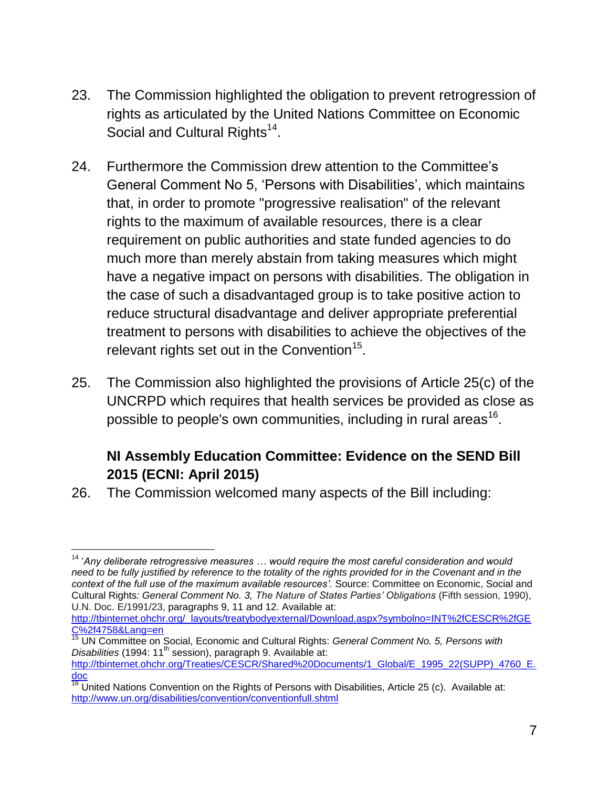- 23. The Commission highlighted the obligation to prevent retrogression of rights as articulated by the United Nations Committee on Economic Social and Cultural Rights<sup>14</sup>.
- 24. Furthermore the Commission drew attention to the Committee's General Comment No 5, 'Persons with Disabilities', which maintains that, in order to promote "progressive realisation" of the relevant rights to the maximum of available resources, there is a clear requirement on public authorities and state funded agencies to do much more than merely abstain from taking measures which might have a negative impact on persons with disabilities. The obligation in the case of such a disadvantaged group is to take positive action to reduce structural disadvantage and deliver appropriate preferential treatment to persons with disabilities to achieve the objectives of the relevant rights set out in the Convention<sup>15</sup>.
- 25. The Commission also highlighted the provisions of Article 25(c) of the UNCRPD which requires that health services be provided as close as possible to people's own communities, including in rural areas<sup>16</sup>.

## **NI Assembly Education Committee: Evidence on the SEND Bill 2015 (ECNI: April 2015)**

26. The Commission welcomed many aspects of the Bill including:

 $\overline{a}$ 

[http://tbinternet.ohchr.org/\\_layouts/treatybodyexternal/Download.aspx?symbolno=INT%2fCESCR%2fGE](http://tbinternet.ohchr.org/_layouts/treatybodyexternal/Download.aspx?symbolno=INT%2fCESCR%2fGEC%2f4758&Lang=en) [C%2f4758&Lang=en](http://tbinternet.ohchr.org/_layouts/treatybodyexternal/Download.aspx?symbolno=INT%2fCESCR%2fGEC%2f4758&Lang=en)

<sup>14</sup> '*Any deliberate retrogressive measures … would require the most careful consideration and would need to be fully justified by reference to the totality of the rights provided for in the Covenant and in the context of the full use of the maximum available resources'.* Source: Committee on Economic, Social and Cultural Rights*: General Comment No. 3, The Nature of States Parties' Obligations* (Fifth session, 1990), U.N. Doc. E/1991/23, paragraphs 9, 11 and 12. Available at:

<sup>15</sup> UN Committee on Social, Economic and Cultural Rights: *General Comment No. 5, Persons with Disabilities* (1994: 11<sup>th</sup> session), paragraph 9. Available at: [http://tbinternet.ohchr.org/Treaties/CESCR/Shared%20Documents/1\\_Global/E\\_1995\\_22\(SUPP\)\\_4760\\_E.](http://tbinternet.ohchr.org/Treaties/CESCR/Shared%20Documents/1_Global/E_1995_22(SUPP)_4760_E.doc) [doc](http://tbinternet.ohchr.org/Treaties/CESCR/Shared%20Documents/1_Global/E_1995_22(SUPP)_4760_E.doc)

 $\overline{16}$  United Nations Convention on the Rights of Persons with Disabilities, Article 25 (c). Available at: <http://www.un.org/disabilities/convention/conventionfull.shtml>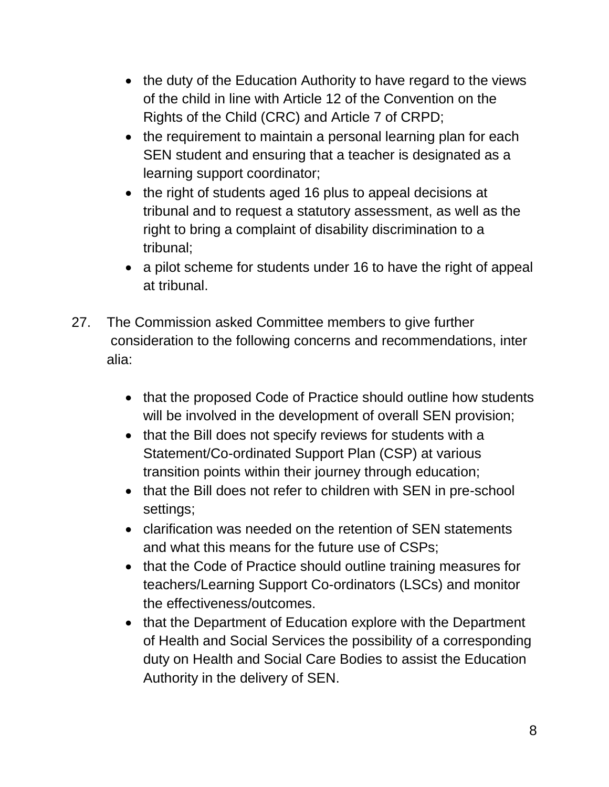- the duty of the Education Authority to have regard to the views of the child in line with Article 12 of the Convention on the Rights of the Child (CRC) and Article 7 of CRPD;
- the requirement to maintain a personal learning plan for each SEN student and ensuring that a teacher is designated as a learning support coordinator;
- the right of students aged 16 plus to appeal decisions at tribunal and to request a statutory assessment, as well as the right to bring a complaint of disability discrimination to a tribunal;
- a pilot scheme for students under 16 to have the right of appeal at tribunal.
- 27. The Commission asked Committee members to give further consideration to the following concerns and recommendations, inter alia:
	- that the proposed Code of Practice should outline how students will be involved in the development of overall SEN provision;
	- that the Bill does not specify reviews for students with a Statement/Co-ordinated Support Plan (CSP) at various transition points within their journey through education;
	- that the Bill does not refer to children with SEN in pre-school settings;
	- clarification was needed on the retention of SEN statements and what this means for the future use of CSPs;
	- that the Code of Practice should outline training measures for teachers/Learning Support Co-ordinators (LSCs) and monitor the effectiveness/outcomes.
	- that the Department of Education explore with the Department of Health and Social Services the possibility of a corresponding duty on Health and Social Care Bodies to assist the Education Authority in the delivery of SEN.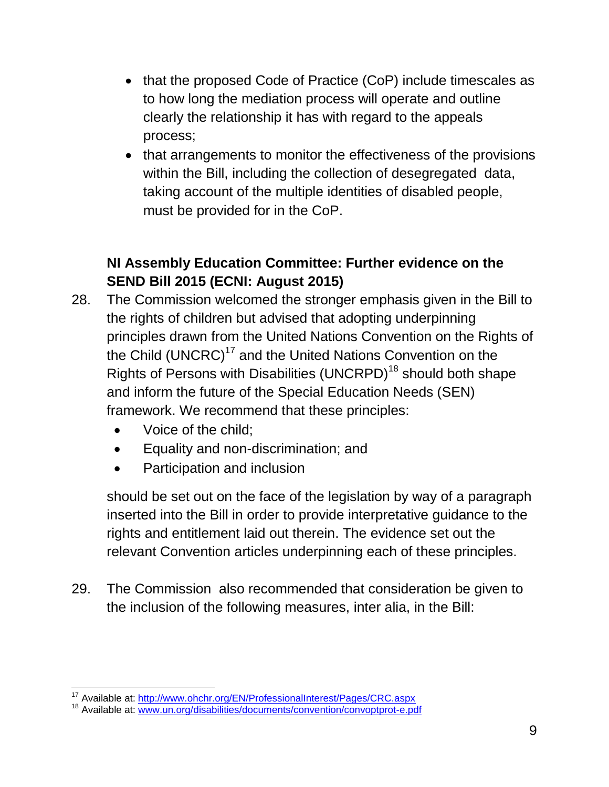- that the proposed Code of Practice (CoP) include timescales as to how long the mediation process will operate and outline clearly the relationship it has with regard to the appeals process;
- that arrangements to monitor the effectiveness of the provisions within the Bill, including the collection of desegregated data, taking account of the multiple identities of disabled people, must be provided for in the CoP.

## **NI Assembly Education Committee: Further evidence on the SEND Bill 2015 (ECNI: August 2015)**

- 28. The Commission welcomed the stronger emphasis given in the Bill to the rights of children but advised that adopting underpinning principles drawn from the United Nations Convention on the Rights of the Child (UNCRC)<sup>17</sup> and the United Nations Convention on the Rights of Persons with Disabilities (UNCRPD)<sup>18</sup> should both shape and inform the future of the Special Education Needs (SEN) framework. We recommend that these principles:
	- Voice of the child;

 $\overline{a}$ 

- Equality and non-discrimination; and
- Participation and inclusion

should be set out on the face of the legislation by way of a paragraph inserted into the Bill in order to provide interpretative guidance to the rights and entitlement laid out therein. The evidence set out the relevant Convention articles underpinning each of these principles.

29. The Commission also recommended that consideration be given to the inclusion of the following measures, inter alia, in the Bill:

<sup>&</sup>lt;sup>17</sup> Available at: <http://www.ohchr.org/EN/ProfessionalInterest/Pages/CRC.aspx>

<sup>&</sup>lt;sup>18</sup> Available at: [www.un.org/disabilities/documents/convention/convoptprot-e.pdf](http://www.un.org/disabilities/documents/convention/convoptprot-e.pdf)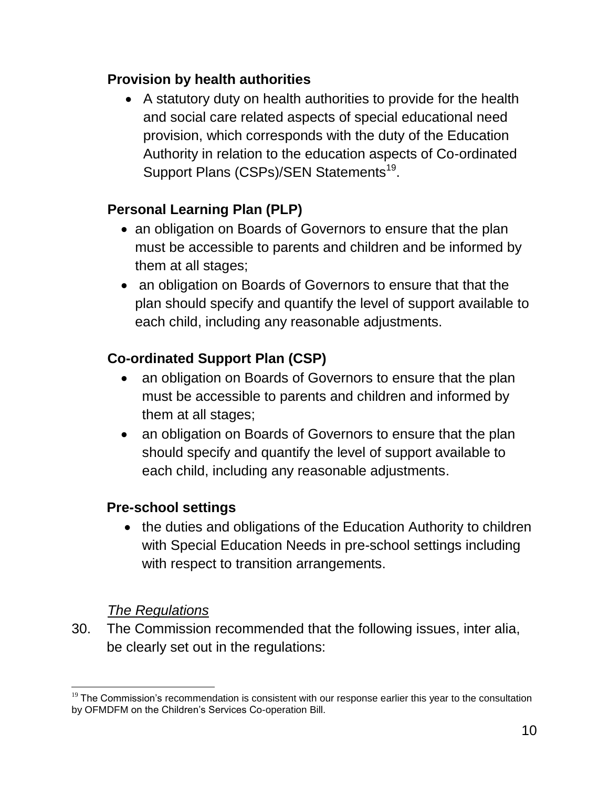#### **Provision by health authorities**

 A statutory duty on health authorities to provide for the health and social care related aspects of special educational need provision, which corresponds with the duty of the Education Authority in relation to the education aspects of Co-ordinated Support Plans (CSPs)/SEN Statements<sup>19</sup>.

### **Personal Learning Plan (PLP)**

- an obligation on Boards of Governors to ensure that the plan must be accessible to parents and children and be informed by them at all stages;
- an obligation on Boards of Governors to ensure that that the plan should specify and quantify the level of support available to each child, including any reasonable adjustments.

### **Co-ordinated Support Plan (CSP)**

- an obligation on Boards of Governors to ensure that the plan must be accessible to parents and children and informed by them at all stages;
- an obligation on Boards of Governors to ensure that the plan should specify and quantify the level of support available to each child, including any reasonable adjustments.

#### **Pre-school settings**

• the duties and obligations of the Education Authority to children with Special Education Needs in pre-school settings including with respect to transition arrangements.

#### *The Regulations*

 $\overline{a}$ 

30. The Commission recommended that the following issues, inter alia, be clearly set out in the regulations:

 $19$  The Commission's recommendation is consistent with our response earlier this year to the consultation by OFMDFM on the Children's Services Co-operation Bill.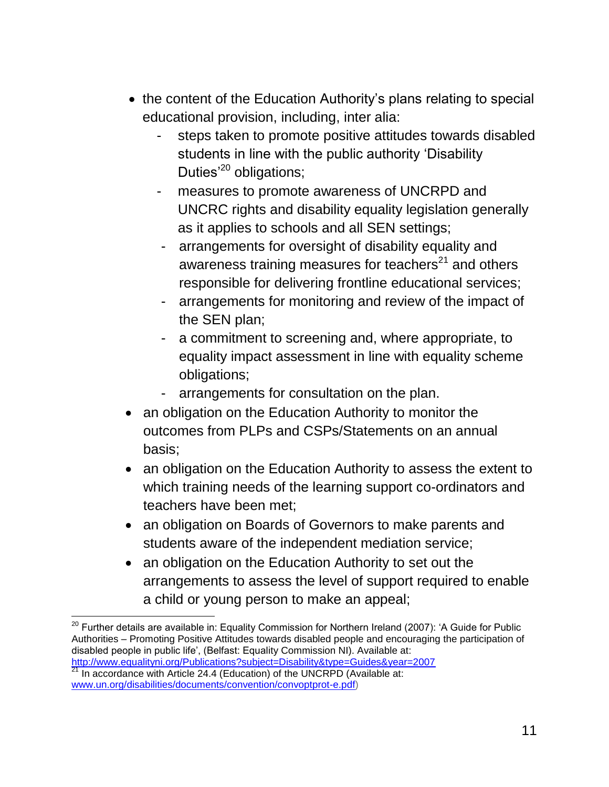- the content of the Education Authority's plans relating to special educational provision, including, inter alia:
	- steps taken to promote positive attitudes towards disabled students in line with the public authority 'Disability Duties<sup>'20</sup> obligations;
	- measures to promote awareness of UNCRPD and UNCRC rights and disability equality legislation generally as it applies to schools and all SEN settings;
	- arrangements for oversight of disability equality and awareness training measures for teachers<sup>21</sup> and others responsible for delivering frontline educational services;
	- arrangements for monitoring and review of the impact of the SEN plan;
	- a commitment to screening and, where appropriate, to equality impact assessment in line with equality scheme obligations;
	- arrangements for consultation on the plan.
- an obligation on the Education Authority to monitor the outcomes from PLPs and CSPs/Statements on an annual basis;
- an obligation on the Education Authority to assess the extent to which training needs of the learning support co-ordinators and teachers have been met;
- an obligation on Boards of Governors to make parents and students aware of the independent mediation service;
- an obligation on the Education Authority to set out the arrangements to assess the level of support required to enable a child or young person to make an appeal;

 $^{20}$  Further details are available in: Equality Commission for Northern Ireland (2007): 'A Guide for Public Authorities – Promoting Positive Attitudes towards disabled people and encouraging the participation of disabled people in public life', (Belfast: Equality Commission NI). Available at: <http://www.equalityni.org/Publications?subject=Disability&type=Guides&year=2007>

In accordance with Article 24.4 (Education) of the UNCRPD (Available at: [www.un.org/disabilities/documents/convention/convoptprot-e.pdf\)](http://www.un.org/disabilities/documents/convention/convoptprot-e.pdf)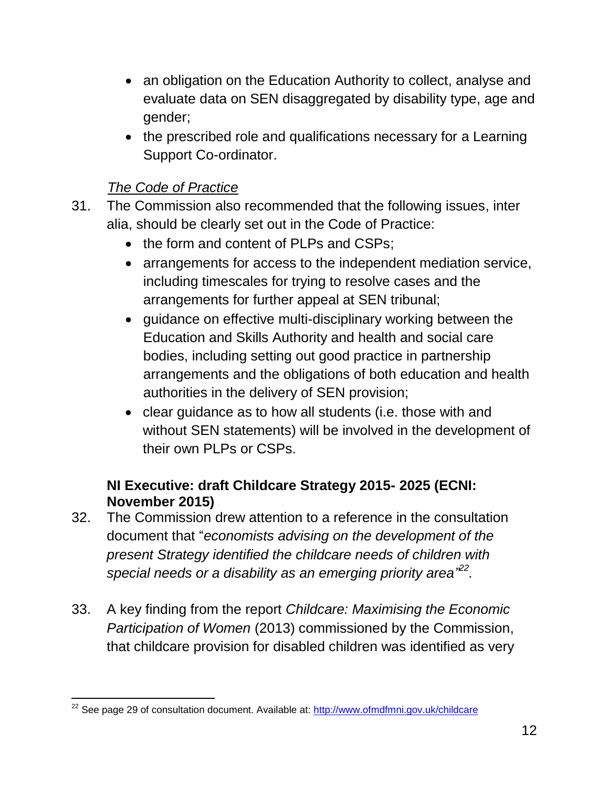- an obligation on the Education Authority to collect, analyse and evaluate data on SEN disaggregated by disability type, age and gender;
- the prescribed role and qualifications necessary for a Learning Support Co-ordinator.

#### *The Code of Practice*

 $\overline{a}$ 

- 31. The Commission also recommended that the following issues, inter alia, should be clearly set out in the Code of Practice:
	- the form and content of PLPs and CSPs;
	- arrangements for access to the independent mediation service, including timescales for trying to resolve cases and the arrangements for further appeal at SEN tribunal;
	- quidance on effective multi-disciplinary working between the Education and Skills Authority and health and social care bodies, including setting out good practice in partnership arrangements and the obligations of both education and health authorities in the delivery of SEN provision;
	- clear guidance as to how all students (i.e. those with and without SEN statements) will be involved in the development of their own PLPs or CSPs.

#### **NI Executive: draft Childcare Strategy 2015- 2025 (ECNI: November 2015)**

- 32. The Commission drew attention to a reference in the consultation document that "*economists advising on the development of the present Strategy identified the childcare needs of children with special needs or a disability as an emerging priority area" 22 .*
- 33. A key finding from the report *Childcare: Maximising the Economic Participation of Women* (2013) commissioned by the Commission, that childcare provision for disabled children was identified as very

<sup>&</sup>lt;sup>22</sup> See page 29 of consultation document. Available at:<http://www.ofmdfmni.gov.uk/childcare>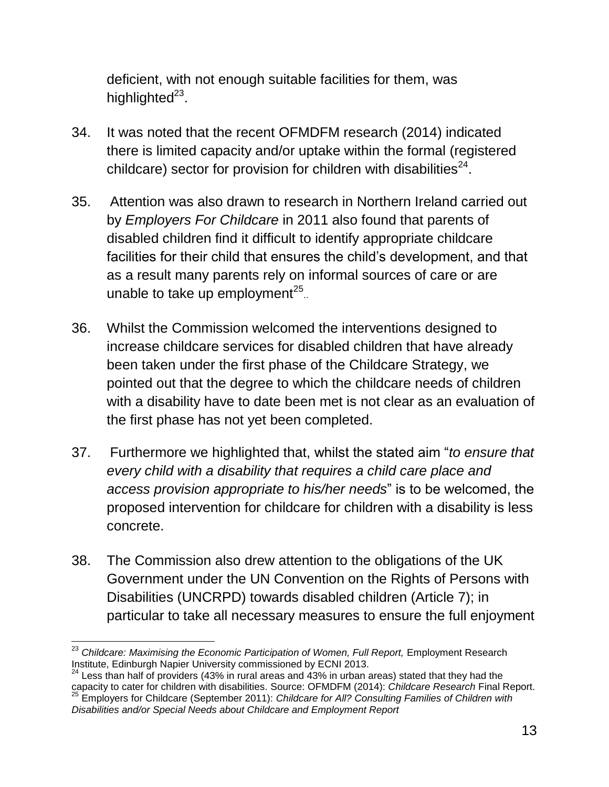deficient, with not enough suitable facilities for them, was highlighted<sup>23</sup>.

- 34. It was noted that the recent OFMDFM research (2014) indicated there is limited capacity and/or uptake within the formal (registered childcare) sector for provision for children with disabilities $^{24}$ .
- 35. Attention was also drawn to research in Northern Ireland carried out by *Employers For Childcare* in 2011 also found that parents of disabled children find it difficult to identify appropriate childcare facilities for their child that ensures the child's development, and that as a result many parents rely on informal sources of care or are unable to take up employment $^{25}$ .
- 36. Whilst the Commission welcomed the interventions designed to increase childcare services for disabled children that have already been taken under the first phase of the Childcare Strategy, we pointed out that the degree to which the childcare needs of children with a disability have to date been met is not clear as an evaluation of the first phase has not yet been completed.
- 37. Furthermore we highlighted that, whilst the stated aim "*to ensure that every child with a disability that requires a child care place and access provision appropriate to his/her needs*" is to be welcomed, the proposed intervention for childcare for children with a disability is less concrete.
- 38. The Commission also drew attention to the obligations of the UK Government under the UN Convention on the Rights of Persons with Disabilities (UNCRPD) towards disabled children (Article 7); in particular to take all necessary measures to ensure the full enjoyment

 $24$  Less than half of providers (43% in rural areas and 43% in urban areas) stated that they had the capacity to cater for children with disabilities. Source: OFMDFM (2014): *Childcare Research* Final Report. <sup>25</sup> Employers for Childcare (September 2011): *Childcare for All? Consulting Families of Children with Disabilities and/or Special Needs about Childcare and Employment Report*

 $\overline{a}$ <sup>23</sup> Childcare: Maximising the Economic Participation of Women, Full Report, Employment Research Institute, Edinburgh Napier University commissioned by ECNI 2013.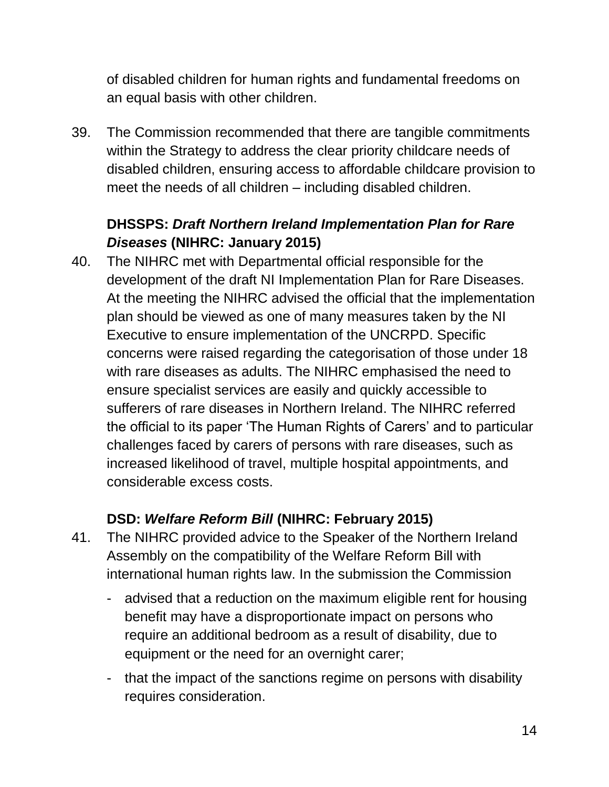of disabled children for human rights and fundamental freedoms on an equal basis with other children.

39. The Commission recommended that there are tangible commitments within the Strategy to address the clear priority childcare needs of disabled children, ensuring access to affordable childcare provision to meet the needs of all children – including disabled children.

### **DHSSPS:** *Draft Northern Ireland Implementation Plan for Rare Diseases* **(NIHRC: January 2015)**

40. The NIHRC met with Departmental official responsible for the development of the draft NI Implementation Plan for Rare Diseases. At the meeting the NIHRC advised the official that the implementation plan should be viewed as one of many measures taken by the NI Executive to ensure implementation of the UNCRPD. Specific concerns were raised regarding the categorisation of those under 18 with rare diseases as adults. The NIHRC emphasised the need to ensure specialist services are easily and quickly accessible to sufferers of rare diseases in Northern Ireland. The NIHRC referred the official to its paper 'The Human Rights of Carers' and to particular challenges faced by carers of persons with rare diseases, such as increased likelihood of travel, multiple hospital appointments, and considerable excess costs.

#### **DSD:** *Welfare Reform Bill* **(NIHRC: February 2015)**

- 41. The NIHRC provided advice to the Speaker of the Northern Ireland Assembly on the compatibility of the Welfare Reform Bill with international human rights law. In the submission the Commission
	- advised that a reduction on the maximum eligible rent for housing benefit may have a disproportionate impact on persons who require an additional bedroom as a result of disability, due to equipment or the need for an overnight carer;
	- that the impact of the sanctions regime on persons with disability requires consideration.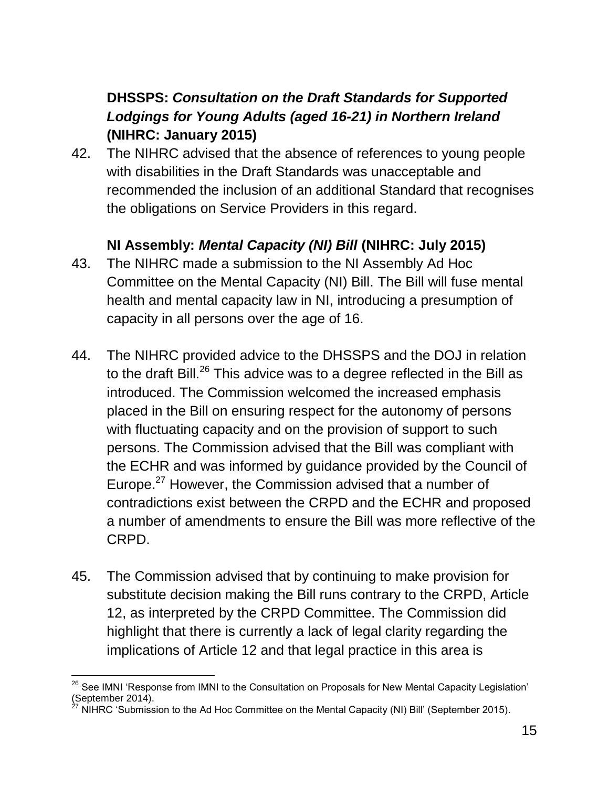### **DHSSPS:** *Consultation on the Draft Standards for Supported Lodgings for Young Adults (aged 16-21) in Northern Ireland* **(NIHRC: January 2015)**

42. The NIHRC advised that the absence of references to young people with disabilities in the Draft Standards was unacceptable and recommended the inclusion of an additional Standard that recognises the obligations on Service Providers in this regard.

#### **NI Assembly:** *Mental Capacity (NI) Bill* **(NIHRC: July 2015)**

- 43. The NIHRC made a submission to the NI Assembly Ad Hoc Committee on the Mental Capacity (NI) Bill. The Bill will fuse mental health and mental capacity law in NI, introducing a presumption of capacity in all persons over the age of 16.
- 44. The NIHRC provided advice to the DHSSPS and the DOJ in relation to the draft Bill.<sup>26</sup> This advice was to a degree reflected in the Bill as introduced. The Commission welcomed the increased emphasis placed in the Bill on ensuring respect for the autonomy of persons with fluctuating capacity and on the provision of support to such persons. The Commission advised that the Bill was compliant with the ECHR and was informed by guidance provided by the Council of Europe.<sup>27</sup> However, the Commission advised that a number of contradictions exist between the CRPD and the ECHR and proposed a number of amendments to ensure the Bill was more reflective of the CRPD.
- 45. The Commission advised that by continuing to make provision for substitute decision making the Bill runs contrary to the CRPD, Article 12, as interpreted by the CRPD Committee. The Commission did highlight that there is currently a lack of legal clarity regarding the implications of Article 12 and that legal practice in this area is

 $\overline{a}$ <sup>26</sup> See IMNI 'Response from IMNI to the Consultation on Proposals for New Mental Capacity Legislation' (September 2014).

NIHRC 'Submission to the Ad Hoc Committee on the Mental Capacity (NI) Bill' (September 2015).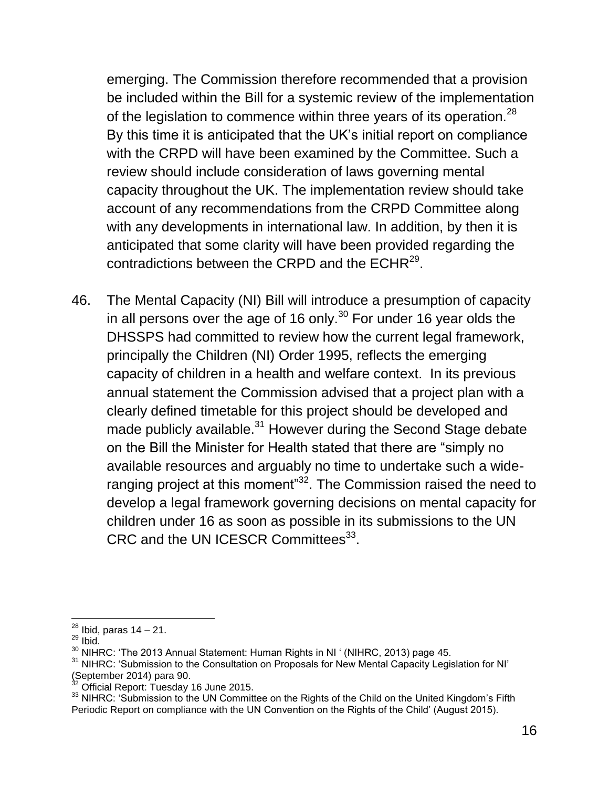emerging. The Commission therefore recommended that a provision be included within the Bill for a systemic review of the implementation of the legislation to commence within three years of its operation.<sup>28</sup> By this time it is anticipated that the UK's initial report on compliance with the CRPD will have been examined by the Committee. Such a review should include consideration of laws governing mental capacity throughout the UK. The implementation review should take account of any recommendations from the CRPD Committee along with any developments in international law. In addition, by then it is anticipated that some clarity will have been provided regarding the contradictions between the CRPD and the ECHR $^{29}$ .

46. The Mental Capacity (NI) Bill will introduce a presumption of capacity in all persons over the age of 16 only.<sup>30</sup> For under 16 year olds the DHSSPS had committed to review how the current legal framework, principally the Children (NI) Order 1995, reflects the emerging capacity of children in a health and welfare context. In its previous annual statement the Commission advised that a project plan with a clearly defined timetable for this project should be developed and made publicly available.<sup>31</sup> However during the Second Stage debate on the Bill the Minister for Health stated that there are "simply no available resources and arguably no time to undertake such a wideranging project at this moment"<sup>32</sup>. The Commission raised the need to develop a legal framework governing decisions on mental capacity for children under 16 as soon as possible in its submissions to the UN CRC and the UN ICESCR Committees<sup>33</sup>.

 $\overline{a}$  $^{28}$  Ibid, paras 14 – 21.

 $29$  Ibid.

 $30$  NIHRC: 'The 2013 Annual Statement: Human Rights in NI ' (NIHRC, 2013) page 45.

 $31$  NIHRC: 'Submission to the Consultation on Proposals for New Mental Capacity Legislation for NI'  $(September\ 2014)$  para 90.

Official Report: Tuesday 16 June 2015.

<sup>&</sup>lt;sup>33</sup> NIHRC: 'Submission to the UN Committee on the Rights of the Child on the United Kingdom's Fifth Periodic Report on compliance with the UN Convention on the Rights of the Child' (August 2015).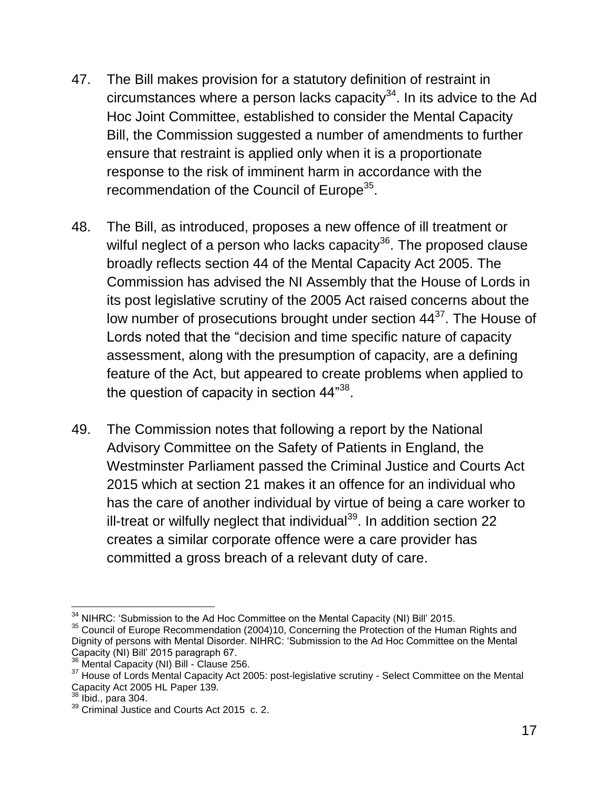- 47. The Bill makes provision for a statutory definition of restraint in circumstances where a person lacks capacity $34$ . In its advice to the Ad Hoc Joint Committee, established to consider the Mental Capacity Bill, the Commission suggested a number of amendments to further ensure that restraint is applied only when it is a proportionate response to the risk of imminent harm in accordance with the recommendation of the Council of Europe<sup>35</sup>.
- 48. The Bill, as introduced, proposes a new offence of ill treatment or wilful neglect of a person who lacks capacity $36$ . The proposed clause broadly reflects section 44 of the Mental Capacity Act 2005. The Commission has advised the NI Assembly that the House of Lords in its post legislative scrutiny of the 2005 Act raised concerns about the low number of prosecutions brought under section  $44^{37}$ . The House of Lords noted that the "decision and time specific nature of capacity assessment, along with the presumption of capacity, are a defining feature of the Act, but appeared to create problems when applied to the question of capacity in section 44" $^{\rm 38}.$
- 49. The Commission notes that following a report by the National Advisory Committee on the Safety of Patients in England, the Westminster Parliament passed the Criminal Justice and Courts Act 2015 which at section 21 makes it an offence for an individual who has the care of another individual by virtue of being a care worker to ill-treat or wilfully neglect that individual $39$ . In addition section 22 creates a similar corporate offence were a care provider has committed a gross breach of a relevant duty of care.

 $34$  NIHRC: 'Submission to the Ad Hoc Committee on the Mental Capacity (NI) Bill' 2015.

<sup>&</sup>lt;sup>35</sup> Council of Europe Recommendation (2004)10, Concerning the Protection of the Human Rights and Dignity of persons with Mental Disorder. NIHRC: 'Submission to the Ad Hoc Committee on the Mental Capacity (NI) Bill' 2015 paragraph 67.

<sup>&</sup>lt;sup>36</sup> Mental Capacity (NI) Bill - Clause 256.

<sup>&</sup>lt;sup>37</sup> House of Lords Mental Capacity Act 2005: post-legislative scrutiny - Select Committee on the Mental Capacity Act 2005 HL Paper 139.

 $38$  Ibid., para 304.

 $39$  Criminal Justice and Courts Act 2015 c. 2.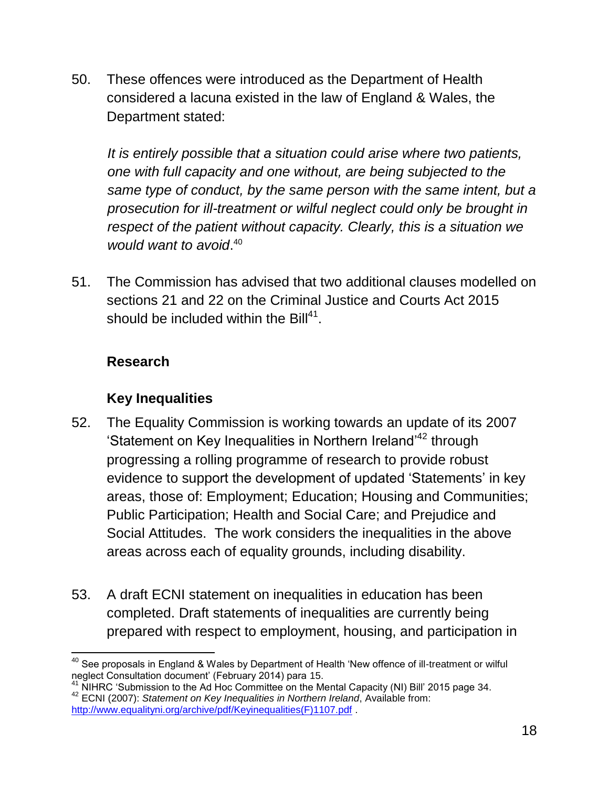50. These offences were introduced as the Department of Health considered a lacuna existed in the law of England & Wales, the Department stated:

*It is entirely possible that a situation could arise where two patients, one with full capacity and one without, are being subjected to the same type of conduct, by the same person with the same intent, but a prosecution for ill-treatment or wilful neglect could only be brought in respect of the patient without capacity. Clearly, this is a situation we would want to avoid*. 40

51. The Commission has advised that two additional clauses modelled on sections 21 and 22 on the Criminal Justice and Courts Act 2015 should be included within the Bill $^{41}$ .

#### **Research**

## **Key Inequalities**

- 52. The Equality Commission is working towards an update of its 2007 'Statement on Key Inequalities in Northern Ireland<sup>42</sup> through progressing a rolling programme of research to provide robust evidence to support the development of updated 'Statements' in key areas, those of: Employment; Education; Housing and Communities; Public Participation; Health and Social Care; and Prejudice and Social Attitudes. The work considers the inequalities in the above areas across each of equality grounds, including disability.
- 53. A draft ECNI statement on inequalities in education has been completed. Draft statements of inequalities are currently being prepared with respect to employment, housing, and participation in

 $\overline{a}$  $^{40}$  See proposals in England & Wales by Department of Health 'New offence of ill-treatment or wilful neglect Consultation document' (February 2014) para 15.

 $41$  NIHRC 'Submission to the Ad Hoc Committee on the Mental Capacity (NI) Bill' 2015 page 34. <sup>42</sup> ECNI (2007): *Statement on Key Inequalities in Northern Ireland*, Available from: [http://www.equalityni.org/archive/pdf/Keyinequalities\(F\)1107.pdf](http://www.equalityni.org/archive/pdf/Keyinequalities(F)1107.pdf) .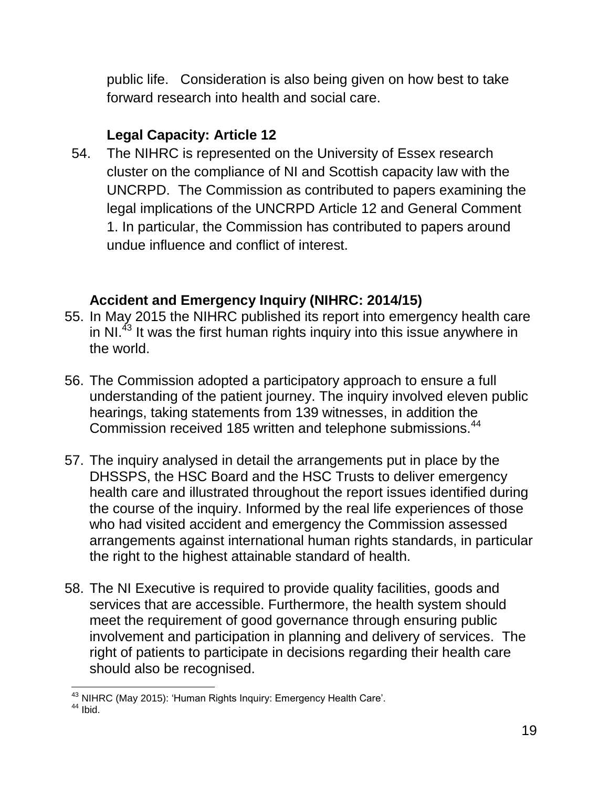public life. Consideration is also being given on how best to take forward research into health and social care.

### **Legal Capacity: Article 12**

54. The NIHRC is represented on the University of Essex research cluster on the compliance of NI and Scottish capacity law with the UNCRPD. The Commission as contributed to papers examining the legal implications of the UNCRPD Article 12 and General Comment 1. In particular, the Commission has contributed to papers around undue influence and conflict of interest.

#### **Accident and Emergency Inquiry (NIHRC: 2014/15)**

- 55. In May 2015 the NIHRC published its report into emergency health care in NI.<sup>43</sup> It was the first human rights inquiry into this issue anywhere in the world.
- 56. The Commission adopted a participatory approach to ensure a full understanding of the patient journey. The inquiry involved eleven public hearings, taking statements from 139 witnesses, in addition the Commission received 185 written and telephone submissions.<sup>44</sup>
- 57. The inquiry analysed in detail the arrangements put in place by the DHSSPS, the HSC Board and the HSC Trusts to deliver emergency health care and illustrated throughout the report issues identified during the course of the inquiry. Informed by the real life experiences of those who had visited accident and emergency the Commission assessed arrangements against international human rights standards, in particular the right to the highest attainable standard of health.
- 58. The NI Executive is required to provide quality facilities, goods and services that are accessible. Furthermore, the health system should meet the requirement of good governance through ensuring public involvement and participation in planning and delivery of services. The right of patients to participate in decisions regarding their health care should also be recognised.

 $\overline{a}$  $^{43}$  NIHRC (May 2015): 'Human Rights Inquiry: Emergency Health Care'.

 $44$  Ibid.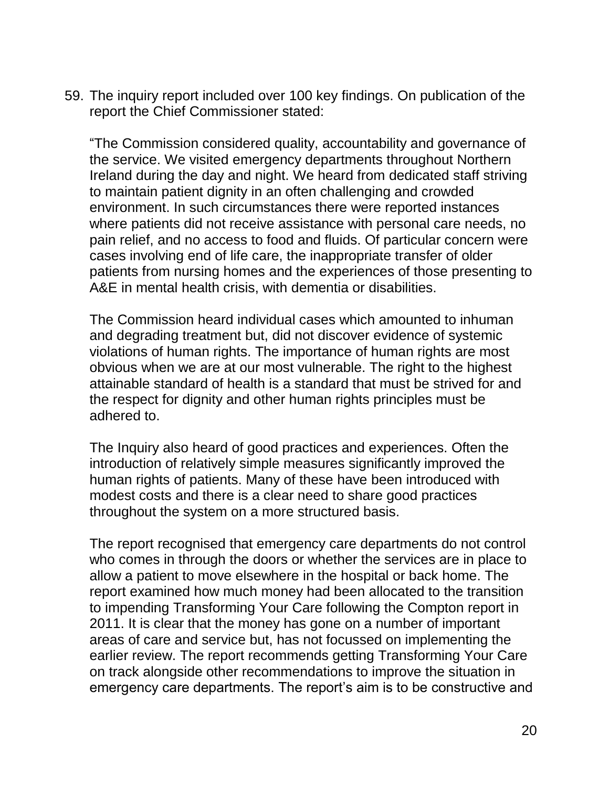59. The inquiry report included over 100 key findings. On publication of the report the Chief Commissioner stated:

"The Commission considered quality, accountability and governance of the service. We visited emergency departments throughout Northern Ireland during the day and night. We heard from dedicated staff striving to maintain patient dignity in an often challenging and crowded environment. In such circumstances there were reported instances where patients did not receive assistance with personal care needs, no pain relief, and no access to food and fluids. Of particular concern were cases involving end of life care, the inappropriate transfer of older patients from nursing homes and the experiences of those presenting to A&E in mental health crisis, with dementia or disabilities.

The Commission heard individual cases which amounted to inhuman and degrading treatment but, did not discover evidence of systemic violations of human rights. The importance of human rights are most obvious when we are at our most vulnerable. The right to the highest attainable standard of health is a standard that must be strived for and the respect for dignity and other human rights principles must be adhered to.

The Inquiry also heard of good practices and experiences. Often the introduction of relatively simple measures significantly improved the human rights of patients. Many of these have been introduced with modest costs and there is a clear need to share good practices throughout the system on a more structured basis.

The report recognised that emergency care departments do not control who comes in through the doors or whether the services are in place to allow a patient to move elsewhere in the hospital or back home. The report examined how much money had been allocated to the transition to impending Transforming Your Care following the Compton report in 2011. It is clear that the money has gone on a number of important areas of care and service but, has not focussed on implementing the earlier review. The report recommends getting Transforming Your Care on track alongside other recommendations to improve the situation in emergency care departments. The report's aim is to be constructive and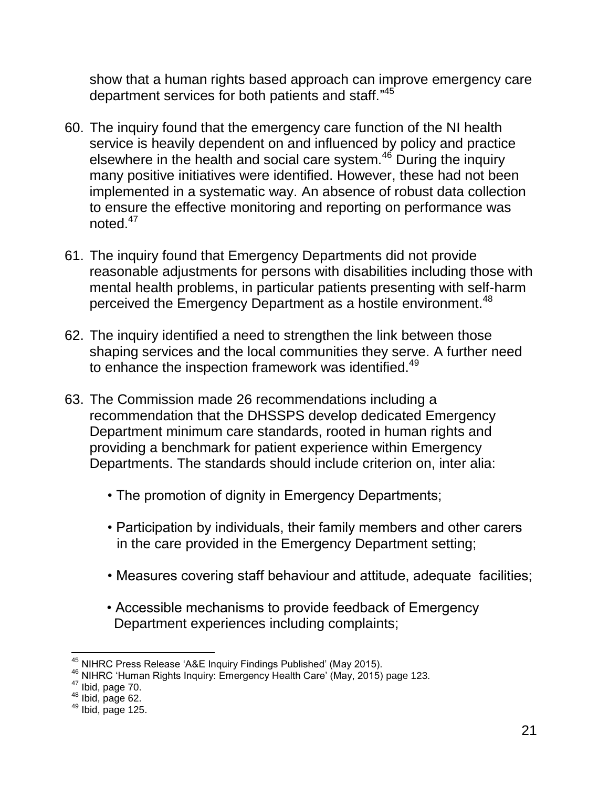show that a human rights based approach can improve emergency care department services for both patients and staff."<sup>45</sup>

- 60. The inquiry found that the emergency care function of the NI health service is heavily dependent on and influenced by policy and practice elsewhere in the health and social care system.<sup>46</sup> During the inquiry many positive initiatives were identified. However, these had not been implemented in a systematic way. An absence of robust data collection to ensure the effective monitoring and reporting on performance was noted.<sup>47</sup>
- 61. The inquiry found that Emergency Departments did not provide reasonable adjustments for persons with disabilities including those with mental health problems, in particular patients presenting with self-harm perceived the Emergency Department as a hostile environment.<sup>48</sup>
- 62. The inquiry identified a need to strengthen the link between those shaping services and the local communities they serve. A further need to enhance the inspection framework was identified.<sup>49</sup>
- 63. The Commission made 26 recommendations including a recommendation that the DHSSPS develop dedicated Emergency Department minimum care standards, rooted in human rights and providing a benchmark for patient experience within Emergency Departments. The standards should include criterion on, inter alia:
	- The promotion of dignity in Emergency Departments;
	- Participation by individuals, their family members and other carers in the care provided in the Emergency Department setting;
	- Measures covering staff behaviour and attitude, adequate facilities;
	- Accessible mechanisms to provide feedback of Emergency Department experiences including complaints;

 $^{45}$  NIHRC Press Release 'A&E Inquiry Findings Published' (May 2015).

 $^{46}$  NIHRC 'Human Rights Inquiry: Emergency Health Care' (May, 2015) page 123.

 $47$  Ibid, page 70.

 $48$  Ibid, page 62.

 $49$  Ibid, page 125.